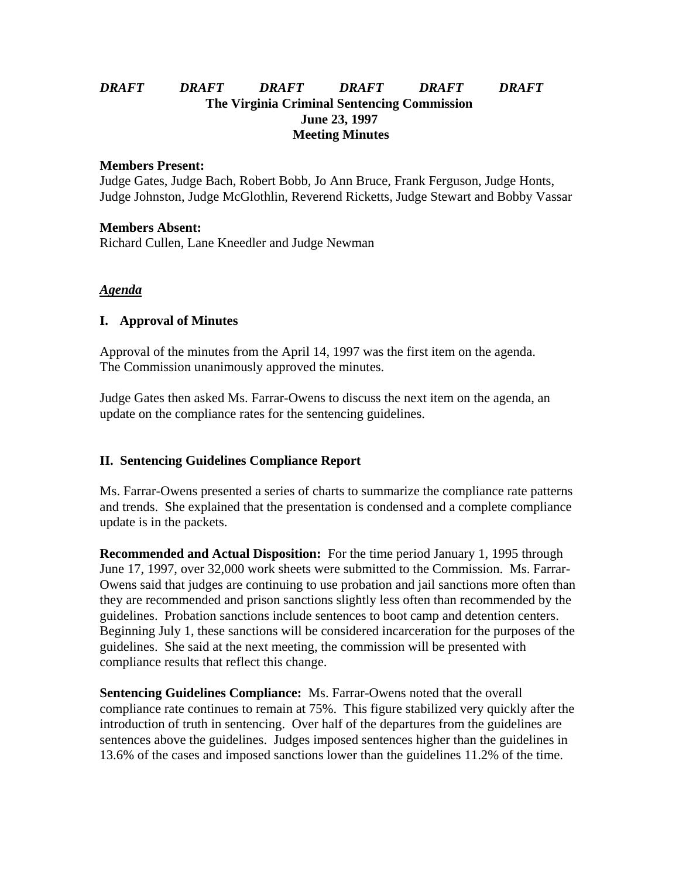### *DRAFT DRAFT DRAFT DRAFT DRAFT DRAFT* **The Virginia Criminal Sentencing Commission June 23, 1997 Meeting Minutes**

#### **Members Present:**

Judge Gates, Judge Bach, Robert Bobb, Jo Ann Bruce, Frank Ferguson, Judge Honts, Judge Johnston, Judge McGlothlin, Reverend Ricketts, Judge Stewart and Bobby Vassar

#### **Members Absent:**

Richard Cullen, Lane Kneedler and Judge Newman

### *Agenda*

### **I. Approval of Minutes**

Approval of the minutes from the April 14, 1997 was the first item on the agenda. The Commission unanimously approved the minutes.

Judge Gates then asked Ms. Farrar-Owens to discuss the next item on the agenda, an update on the compliance rates for the sentencing guidelines.

# **II. Sentencing Guidelines Compliance Report**

Ms. Farrar-Owens presented a series of charts to summarize the compliance rate patterns and trends. She explained that the presentation is condensed and a complete compliance update is in the packets.

**Recommended and Actual Disposition:** For the time period January 1, 1995 through June 17, 1997, over 32,000 work sheets were submitted to the Commission. Ms. Farrar-Owens said that judges are continuing to use probation and jail sanctions more often than they are recommended and prison sanctions slightly less often than recommended by the guidelines. Probation sanctions include sentences to boot camp and detention centers. Beginning July 1, these sanctions will be considered incarceration for the purposes of the guidelines. She said at the next meeting, the commission will be presented with compliance results that reflect this change.

**Sentencing Guidelines Compliance:** Ms. Farrar-Owens noted that the overall compliance rate continues to remain at 75%. This figure stabilized very quickly after the introduction of truth in sentencing. Over half of the departures from the guidelines are sentences above the guidelines. Judges imposed sentences higher than the guidelines in 13.6% of the cases and imposed sanctions lower than the guidelines 11.2% of the time.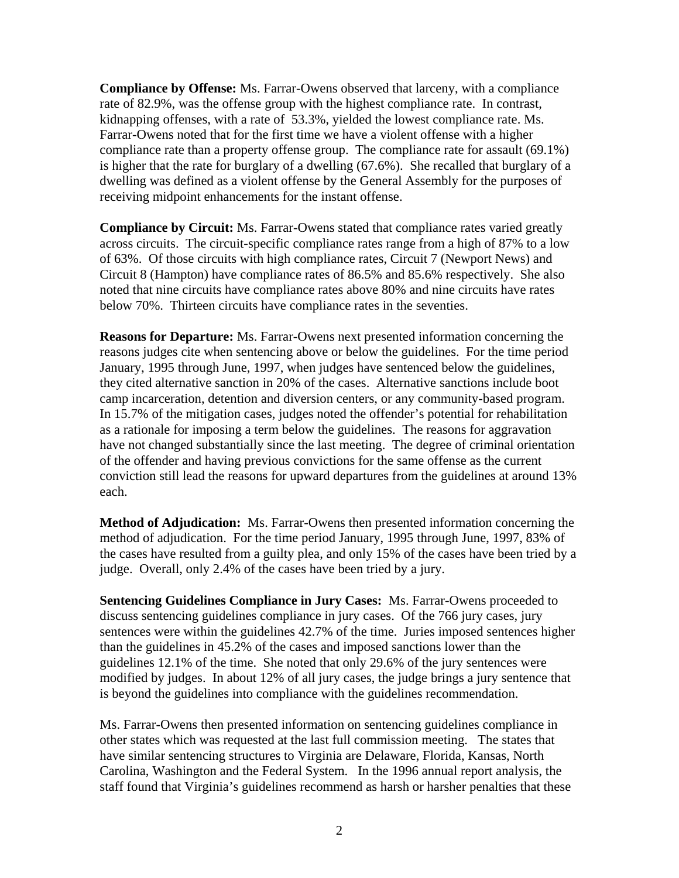**Compliance by Offense:** Ms. Farrar-Owens observed that larceny, with a compliance rate of 82.9%, was the offense group with the highest compliance rate. In contrast, kidnapping offenses, with a rate of 53.3%, yielded the lowest compliance rate. Ms. Farrar-Owens noted that for the first time we have a violent offense with a higher compliance rate than a property offense group. The compliance rate for assault (69.1%) is higher that the rate for burglary of a dwelling (67.6%). She recalled that burglary of a dwelling was defined as a violent offense by the General Assembly for the purposes of receiving midpoint enhancements for the instant offense.

**Compliance by Circuit:** Ms. Farrar-Owens stated that compliance rates varied greatly across circuits. The circuit-specific compliance rates range from a high of 87% to a low of 63%. Of those circuits with high compliance rates, Circuit 7 (Newport News) and Circuit 8 (Hampton) have compliance rates of 86.5% and 85.6% respectively. She also noted that nine circuits have compliance rates above 80% and nine circuits have rates below 70%. Thirteen circuits have compliance rates in the seventies.

**Reasons for Departure:** Ms. Farrar-Owens next presented information concerning the reasons judges cite when sentencing above or below the guidelines. For the time period January, 1995 through June, 1997, when judges have sentenced below the guidelines, they cited alternative sanction in 20% of the cases. Alternative sanctions include boot camp incarceration, detention and diversion centers, or any community-based program. In 15.7% of the mitigation cases, judges noted the offender's potential for rehabilitation as a rationale for imposing a term below the guidelines. The reasons for aggravation have not changed substantially since the last meeting. The degree of criminal orientation of the offender and having previous convictions for the same offense as the current conviction still lead the reasons for upward departures from the guidelines at around 13% each.

**Method of Adjudication:** Ms. Farrar-Owens then presented information concerning the method of adjudication. For the time period January, 1995 through June, 1997, 83% of the cases have resulted from a guilty plea, and only 15% of the cases have been tried by a judge. Overall, only 2.4% of the cases have been tried by a jury.

**Sentencing Guidelines Compliance in Jury Cases:** Ms. Farrar-Owens proceeded to discuss sentencing guidelines compliance in jury cases. Of the 766 jury cases, jury sentences were within the guidelines 42.7% of the time. Juries imposed sentences higher than the guidelines in 45.2% of the cases and imposed sanctions lower than the guidelines 12.1% of the time. She noted that only 29.6% of the jury sentences were modified by judges. In about 12% of all jury cases, the judge brings a jury sentence that is beyond the guidelines into compliance with the guidelines recommendation.

Ms. Farrar-Owens then presented information on sentencing guidelines compliance in other states which was requested at the last full commission meeting. The states that have similar sentencing structures to Virginia are Delaware, Florida, Kansas, North Carolina, Washington and the Federal System. In the 1996 annual report analysis, the staff found that Virginia's guidelines recommend as harsh or harsher penalties that these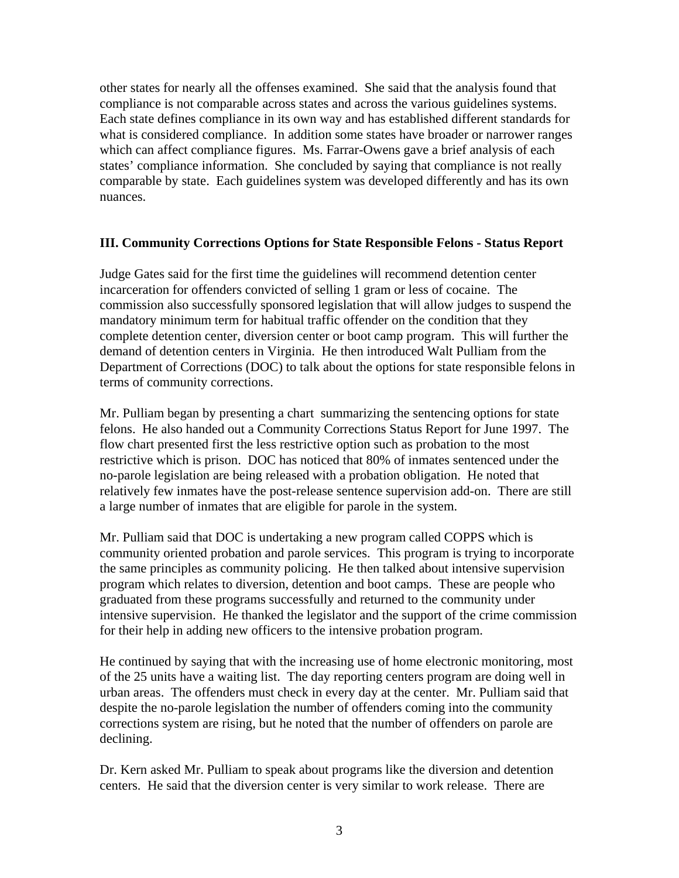other states for nearly all the offenses examined. She said that the analysis found that compliance is not comparable across states and across the various guidelines systems. Each state defines compliance in its own way and has established different standards for what is considered compliance. In addition some states have broader or narrower ranges which can affect compliance figures. Ms. Farrar-Owens gave a brief analysis of each states' compliance information. She concluded by saying that compliance is not really comparable by state. Each guidelines system was developed differently and has its own nuances.

### **III. Community Corrections Options for State Responsible Felons - Status Report**

Judge Gates said for the first time the guidelines will recommend detention center incarceration for offenders convicted of selling 1 gram or less of cocaine. The commission also successfully sponsored legislation that will allow judges to suspend the mandatory minimum term for habitual traffic offender on the condition that they complete detention center, diversion center or boot camp program. This will further the demand of detention centers in Virginia. He then introduced Walt Pulliam from the Department of Corrections (DOC) to talk about the options for state responsible felons in terms of community corrections.

Mr. Pulliam began by presenting a chart summarizing the sentencing options for state felons. He also handed out a Community Corrections Status Report for June 1997. The flow chart presented first the less restrictive option such as probation to the most restrictive which is prison. DOC has noticed that 80% of inmates sentenced under the no-parole legislation are being released with a probation obligation. He noted that relatively few inmates have the post-release sentence supervision add-on. There are still a large number of inmates that are eligible for parole in the system.

Mr. Pulliam said that DOC is undertaking a new program called COPPS which is community oriented probation and parole services. This program is trying to incorporate the same principles as community policing. He then talked about intensive supervision program which relates to diversion, detention and boot camps. These are people who graduated from these programs successfully and returned to the community under intensive supervision. He thanked the legislator and the support of the crime commission for their help in adding new officers to the intensive probation program.

He continued by saying that with the increasing use of home electronic monitoring, most of the 25 units have a waiting list. The day reporting centers program are doing well in urban areas. The offenders must check in every day at the center. Mr. Pulliam said that despite the no-parole legislation the number of offenders coming into the community corrections system are rising, but he noted that the number of offenders on parole are declining.

Dr. Kern asked Mr. Pulliam to speak about programs like the diversion and detention centers. He said that the diversion center is very similar to work release. There are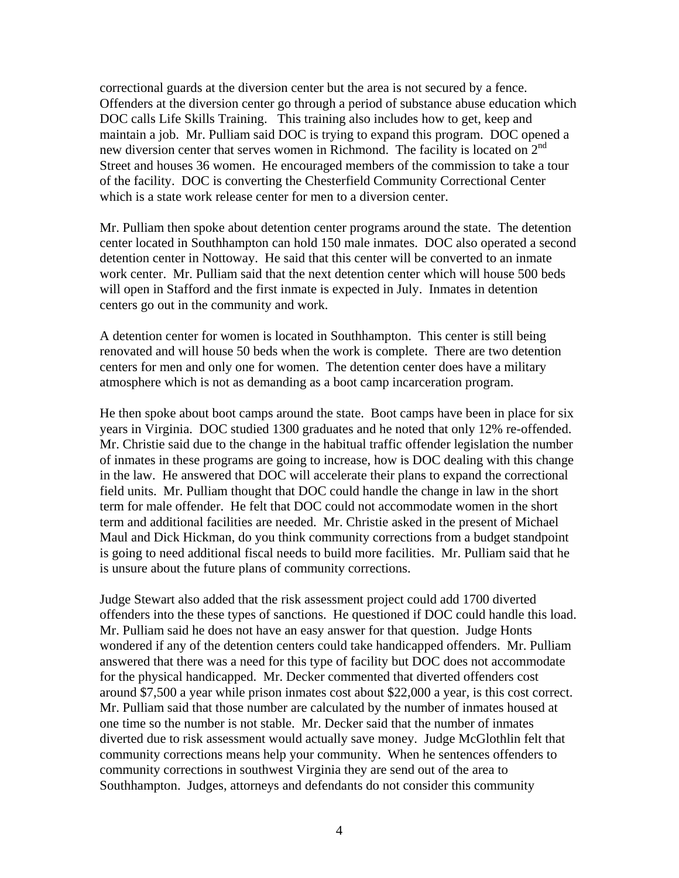correctional guards at the diversion center but the area is not secured by a fence. Offenders at the diversion center go through a period of substance abuse education which DOC calls Life Skills Training. This training also includes how to get, keep and maintain a job. Mr. Pulliam said DOC is trying to expand this program. DOC opened a new diversion center that serves women in Richmond. The facility is located on  $2<sup>nd</sup>$ Street and houses 36 women. He encouraged members of the commission to take a tour of the facility. DOC is converting the Chesterfield Community Correctional Center which is a state work release center for men to a diversion center.

Mr. Pulliam then spoke about detention center programs around the state. The detention center located in Southhampton can hold 150 male inmates. DOC also operated a second detention center in Nottoway. He said that this center will be converted to an inmate work center. Mr. Pulliam said that the next detention center which will house 500 beds will open in Stafford and the first inmate is expected in July. Inmates in detention centers go out in the community and work.

A detention center for women is located in Southhampton. This center is still being renovated and will house 50 beds when the work is complete. There are two detention centers for men and only one for women. The detention center does have a military atmosphere which is not as demanding as a boot camp incarceration program.

He then spoke about boot camps around the state. Boot camps have been in place for six years in Virginia. DOC studied 1300 graduates and he noted that only 12% re-offended. Mr. Christie said due to the change in the habitual traffic offender legislation the number of inmates in these programs are going to increase, how is DOC dealing with this change in the law. He answered that DOC will accelerate their plans to expand the correctional field units. Mr. Pulliam thought that DOC could handle the change in law in the short term for male offender. He felt that DOC could not accommodate women in the short term and additional facilities are needed. Mr. Christie asked in the present of Michael Maul and Dick Hickman, do you think community corrections from a budget standpoint is going to need additional fiscal needs to build more facilities. Mr. Pulliam said that he is unsure about the future plans of community corrections.

Judge Stewart also added that the risk assessment project could add 1700 diverted offenders into the these types of sanctions. He questioned if DOC could handle this load. Mr. Pulliam said he does not have an easy answer for that question. Judge Honts wondered if any of the detention centers could take handicapped offenders. Mr. Pulliam answered that there was a need for this type of facility but DOC does not accommodate for the physical handicapped. Mr. Decker commented that diverted offenders cost around \$7,500 a year while prison inmates cost about \$22,000 a year, is this cost correct. Mr. Pulliam said that those number are calculated by the number of inmates housed at one time so the number is not stable. Mr. Decker said that the number of inmates diverted due to risk assessment would actually save money. Judge McGlothlin felt that community corrections means help your community. When he sentences offenders to community corrections in southwest Virginia they are send out of the area to Southhampton. Judges, attorneys and defendants do not consider this community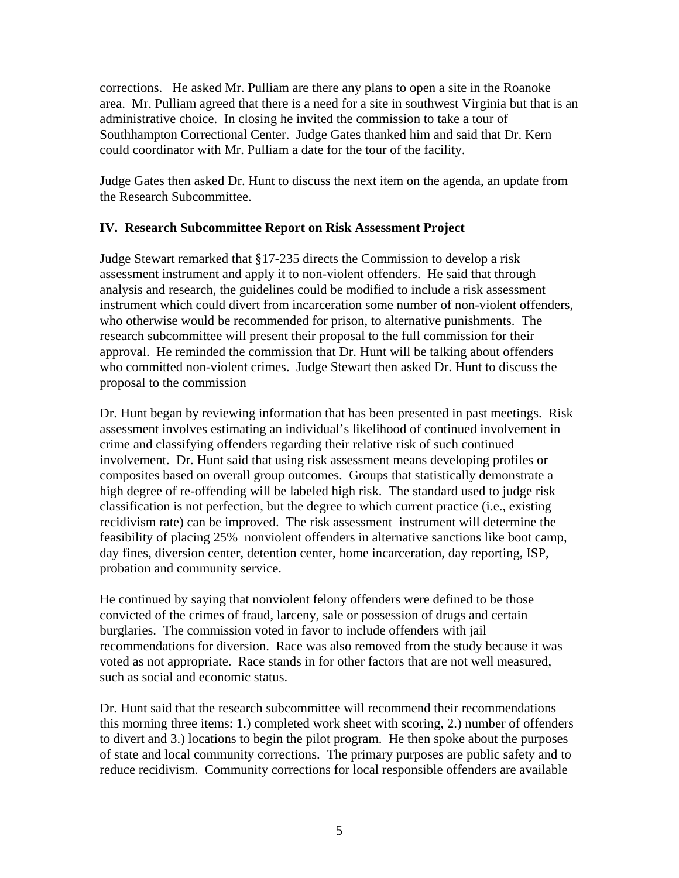corrections. He asked Mr. Pulliam are there any plans to open a site in the Roanoke area. Mr. Pulliam agreed that there is a need for a site in southwest Virginia but that is an administrative choice. In closing he invited the commission to take a tour of Southhampton Correctional Center. Judge Gates thanked him and said that Dr. Kern could coordinator with Mr. Pulliam a date for the tour of the facility.

Judge Gates then asked Dr. Hunt to discuss the next item on the agenda, an update from the Research Subcommittee.

# **IV. Research Subcommittee Report on Risk Assessment Project**

Judge Stewart remarked that §17-235 directs the Commission to develop a risk assessment instrument and apply it to non-violent offenders. He said that through analysis and research, the guidelines could be modified to include a risk assessment instrument which could divert from incarceration some number of non-violent offenders, who otherwise would be recommended for prison, to alternative punishments. The research subcommittee will present their proposal to the full commission for their approval. He reminded the commission that Dr. Hunt will be talking about offenders who committed non-violent crimes. Judge Stewart then asked Dr. Hunt to discuss the proposal to the commission

Dr. Hunt began by reviewing information that has been presented in past meetings. Risk assessment involves estimating an individual's likelihood of continued involvement in crime and classifying offenders regarding their relative risk of such continued involvement. Dr. Hunt said that using risk assessment means developing profiles or composites based on overall group outcomes. Groups that statistically demonstrate a high degree of re-offending will be labeled high risk. The standard used to judge risk classification is not perfection, but the degree to which current practice (i.e., existing recidivism rate) can be improved. The risk assessment instrument will determine the feasibility of placing 25% nonviolent offenders in alternative sanctions like boot camp, day fines, diversion center, detention center, home incarceration, day reporting, ISP, probation and community service.

He continued by saying that nonviolent felony offenders were defined to be those convicted of the crimes of fraud, larceny, sale or possession of drugs and certain burglaries. The commission voted in favor to include offenders with jail recommendations for diversion. Race was also removed from the study because it was voted as not appropriate. Race stands in for other factors that are not well measured, such as social and economic status.

Dr. Hunt said that the research subcommittee will recommend their recommendations this morning three items: 1.) completed work sheet with scoring, 2.) number of offenders to divert and 3.) locations to begin the pilot program. He then spoke about the purposes of state and local community corrections. The primary purposes are public safety and to reduce recidivism. Community corrections for local responsible offenders are available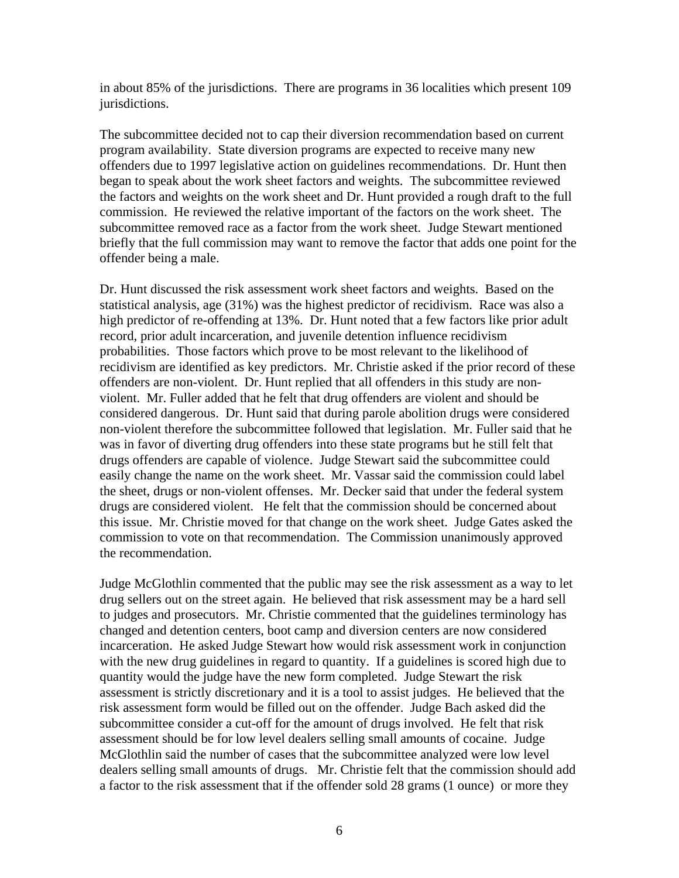in about 85% of the jurisdictions. There are programs in 36 localities which present 109 jurisdictions.

The subcommittee decided not to cap their diversion recommendation based on current program availability. State diversion programs are expected to receive many new offenders due to 1997 legislative action on guidelines recommendations. Dr. Hunt then began to speak about the work sheet factors and weights. The subcommittee reviewed the factors and weights on the work sheet and Dr. Hunt provided a rough draft to the full commission. He reviewed the relative important of the factors on the work sheet. The subcommittee removed race as a factor from the work sheet. Judge Stewart mentioned briefly that the full commission may want to remove the factor that adds one point for the offender being a male.

Dr. Hunt discussed the risk assessment work sheet factors and weights. Based on the statistical analysis, age (31%) was the highest predictor of recidivism. Race was also a high predictor of re-offending at 13%. Dr. Hunt noted that a few factors like prior adult record, prior adult incarceration, and juvenile detention influence recidivism probabilities. Those factors which prove to be most relevant to the likelihood of recidivism are identified as key predictors. Mr. Christie asked if the prior record of these offenders are non-violent. Dr. Hunt replied that all offenders in this study are nonviolent. Mr. Fuller added that he felt that drug offenders are violent and should be considered dangerous. Dr. Hunt said that during parole abolition drugs were considered non-violent therefore the subcommittee followed that legislation. Mr. Fuller said that he was in favor of diverting drug offenders into these state programs but he still felt that drugs offenders are capable of violence. Judge Stewart said the subcommittee could easily change the name on the work sheet. Mr. Vassar said the commission could label the sheet, drugs or non-violent offenses. Mr. Decker said that under the federal system drugs are considered violent. He felt that the commission should be concerned about this issue. Mr. Christie moved for that change on the work sheet. Judge Gates asked the commission to vote on that recommendation. The Commission unanimously approved the recommendation.

Judge McGlothlin commented that the public may see the risk assessment as a way to let drug sellers out on the street again. He believed that risk assessment may be a hard sell to judges and prosecutors. Mr. Christie commented that the guidelines terminology has changed and detention centers, boot camp and diversion centers are now considered incarceration. He asked Judge Stewart how would risk assessment work in conjunction with the new drug guidelines in regard to quantity. If a guidelines is scored high due to quantity would the judge have the new form completed. Judge Stewart the risk assessment is strictly discretionary and it is a tool to assist judges. He believed that the risk assessment form would be filled out on the offender. Judge Bach asked did the subcommittee consider a cut-off for the amount of drugs involved. He felt that risk assessment should be for low level dealers selling small amounts of cocaine. Judge McGlothlin said the number of cases that the subcommittee analyzed were low level dealers selling small amounts of drugs. Mr. Christie felt that the commission should add a factor to the risk assessment that if the offender sold 28 grams (1 ounce) or more they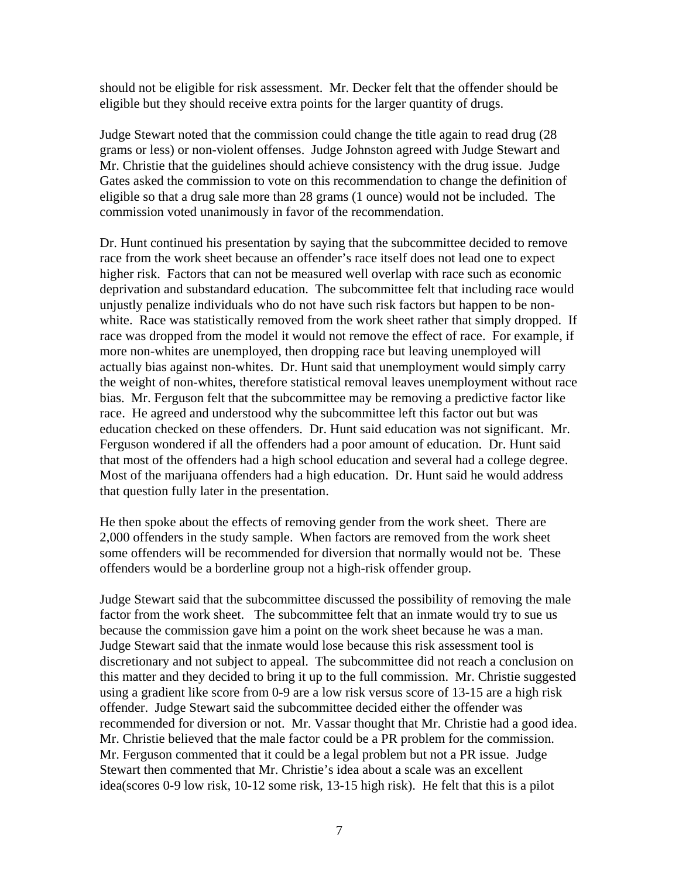should not be eligible for risk assessment. Mr. Decker felt that the offender should be eligible but they should receive extra points for the larger quantity of drugs.

Judge Stewart noted that the commission could change the title again to read drug (28 grams or less) or non-violent offenses. Judge Johnston agreed with Judge Stewart and Mr. Christie that the guidelines should achieve consistency with the drug issue. Judge Gates asked the commission to vote on this recommendation to change the definition of eligible so that a drug sale more than 28 grams (1 ounce) would not be included. The commission voted unanimously in favor of the recommendation.

Dr. Hunt continued his presentation by saying that the subcommittee decided to remove race from the work sheet because an offender's race itself does not lead one to expect higher risk. Factors that can not be measured well overlap with race such as economic deprivation and substandard education. The subcommittee felt that including race would unjustly penalize individuals who do not have such risk factors but happen to be nonwhite. Race was statistically removed from the work sheet rather that simply dropped. If race was dropped from the model it would not remove the effect of race. For example, if more non-whites are unemployed, then dropping race but leaving unemployed will actually bias against non-whites. Dr. Hunt said that unemployment would simply carry the weight of non-whites, therefore statistical removal leaves unemployment without race bias. Mr. Ferguson felt that the subcommittee may be removing a predictive factor like race. He agreed and understood why the subcommittee left this factor out but was education checked on these offenders. Dr. Hunt said education was not significant. Mr. Ferguson wondered if all the offenders had a poor amount of education. Dr. Hunt said that most of the offenders had a high school education and several had a college degree. Most of the marijuana offenders had a high education. Dr. Hunt said he would address that question fully later in the presentation.

He then spoke about the effects of removing gender from the work sheet. There are 2,000 offenders in the study sample. When factors are removed from the work sheet some offenders will be recommended for diversion that normally would not be. These offenders would be a borderline group not a high-risk offender group.

Judge Stewart said that the subcommittee discussed the possibility of removing the male factor from the work sheet. The subcommittee felt that an inmate would try to sue us because the commission gave him a point on the work sheet because he was a man. Judge Stewart said that the inmate would lose because this risk assessment tool is discretionary and not subject to appeal. The subcommittee did not reach a conclusion on this matter and they decided to bring it up to the full commission. Mr. Christie suggested using a gradient like score from 0-9 are a low risk versus score of 13-15 are a high risk offender. Judge Stewart said the subcommittee decided either the offender was recommended for diversion or not. Mr. Vassar thought that Mr. Christie had a good idea. Mr. Christie believed that the male factor could be a PR problem for the commission. Mr. Ferguson commented that it could be a legal problem but not a PR issue. Judge Stewart then commented that Mr. Christie's idea about a scale was an excellent idea(scores 0-9 low risk, 10-12 some risk, 13-15 high risk). He felt that this is a pilot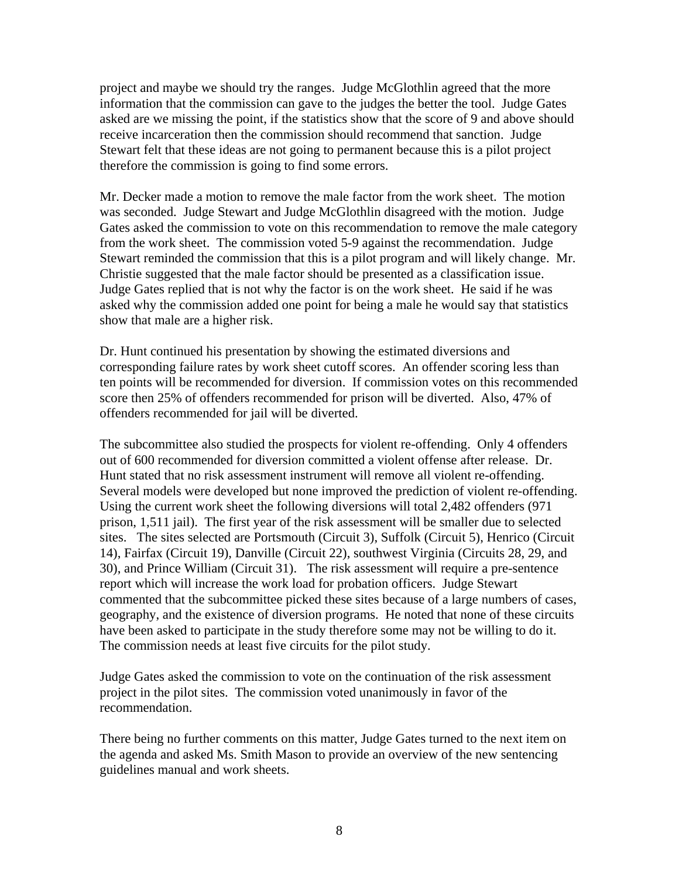project and maybe we should try the ranges. Judge McGlothlin agreed that the more information that the commission can gave to the judges the better the tool. Judge Gates asked are we missing the point, if the statistics show that the score of 9 and above should receive incarceration then the commission should recommend that sanction. Judge Stewart felt that these ideas are not going to permanent because this is a pilot project therefore the commission is going to find some errors.

Mr. Decker made a motion to remove the male factor from the work sheet. The motion was seconded. Judge Stewart and Judge McGlothlin disagreed with the motion. Judge Gates asked the commission to vote on this recommendation to remove the male category from the work sheet. The commission voted 5-9 against the recommendation. Judge Stewart reminded the commission that this is a pilot program and will likely change. Mr. Christie suggested that the male factor should be presented as a classification issue. Judge Gates replied that is not why the factor is on the work sheet. He said if he was asked why the commission added one point for being a male he would say that statistics show that male are a higher risk.

Dr. Hunt continued his presentation by showing the estimated diversions and corresponding failure rates by work sheet cutoff scores. An offender scoring less than ten points will be recommended for diversion. If commission votes on this recommended score then 25% of offenders recommended for prison will be diverted. Also, 47% of offenders recommended for jail will be diverted.

The subcommittee also studied the prospects for violent re-offending. Only 4 offenders out of 600 recommended for diversion committed a violent offense after release. Dr. Hunt stated that no risk assessment instrument will remove all violent re-offending. Several models were developed but none improved the prediction of violent re-offending. Using the current work sheet the following diversions will total 2,482 offenders (971 prison, 1,511 jail). The first year of the risk assessment will be smaller due to selected sites. The sites selected are Portsmouth (Circuit 3), Suffolk (Circuit 5), Henrico (Circuit 14), Fairfax (Circuit 19), Danville (Circuit 22), southwest Virginia (Circuits 28, 29, and 30), and Prince William (Circuit 31). The risk assessment will require a pre-sentence report which will increase the work load for probation officers. Judge Stewart commented that the subcommittee picked these sites because of a large numbers of cases, geography, and the existence of diversion programs. He noted that none of these circuits have been asked to participate in the study therefore some may not be willing to do it. The commission needs at least five circuits for the pilot study.

Judge Gates asked the commission to vote on the continuation of the risk assessment project in the pilot sites. The commission voted unanimously in favor of the recommendation.

There being no further comments on this matter, Judge Gates turned to the next item on the agenda and asked Ms. Smith Mason to provide an overview of the new sentencing guidelines manual and work sheets.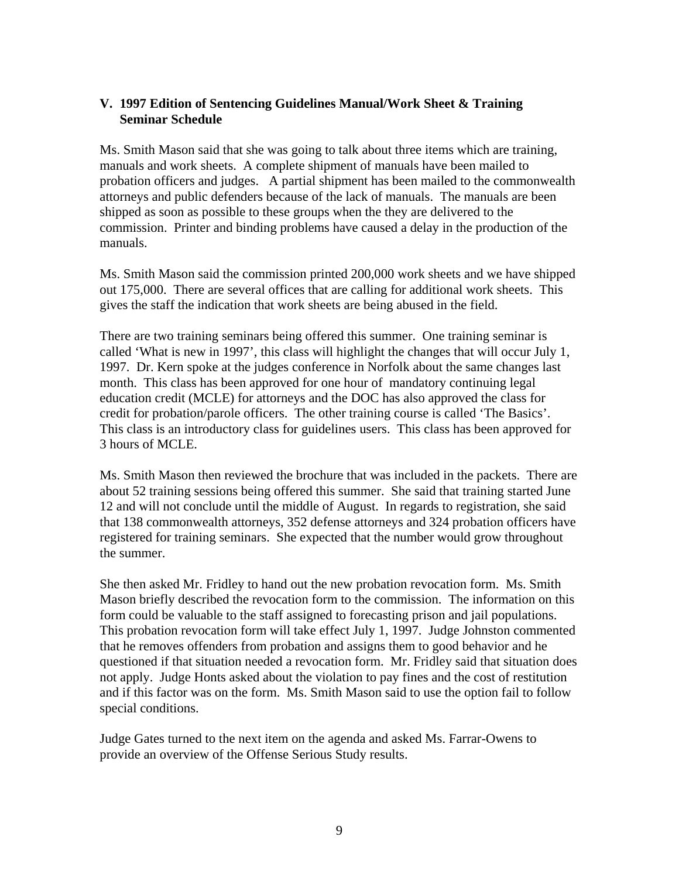# **V. 1997 Edition of Sentencing Guidelines Manual/Work Sheet & Training Seminar Schedule**

Ms. Smith Mason said that she was going to talk about three items which are training, manuals and work sheets. A complete shipment of manuals have been mailed to probation officers and judges. A partial shipment has been mailed to the commonwealth attorneys and public defenders because of the lack of manuals. The manuals are been shipped as soon as possible to these groups when the they are delivered to the commission. Printer and binding problems have caused a delay in the production of the manuals.

Ms. Smith Mason said the commission printed 200,000 work sheets and we have shipped out 175,000. There are several offices that are calling for additional work sheets. This gives the staff the indication that work sheets are being abused in the field.

There are two training seminars being offered this summer. One training seminar is called 'What is new in 1997', this class will highlight the changes that will occur July 1, 1997. Dr. Kern spoke at the judges conference in Norfolk about the same changes last month. This class has been approved for one hour of mandatory continuing legal education credit (MCLE) for attorneys and the DOC has also approved the class for credit for probation/parole officers. The other training course is called 'The Basics'. This class is an introductory class for guidelines users. This class has been approved for 3 hours of MCLE.

Ms. Smith Mason then reviewed the brochure that was included in the packets. There are about 52 training sessions being offered this summer. She said that training started June 12 and will not conclude until the middle of August. In regards to registration, she said that 138 commonwealth attorneys, 352 defense attorneys and 324 probation officers have registered for training seminars. She expected that the number would grow throughout the summer.

She then asked Mr. Fridley to hand out the new probation revocation form. Ms. Smith Mason briefly described the revocation form to the commission. The information on this form could be valuable to the staff assigned to forecasting prison and jail populations. This probation revocation form will take effect July 1, 1997. Judge Johnston commented that he removes offenders from probation and assigns them to good behavior and he questioned if that situation needed a revocation form. Mr. Fridley said that situation does not apply. Judge Honts asked about the violation to pay fines and the cost of restitution and if this factor was on the form. Ms. Smith Mason said to use the option fail to follow special conditions.

Judge Gates turned to the next item on the agenda and asked Ms. Farrar-Owens to provide an overview of the Offense Serious Study results.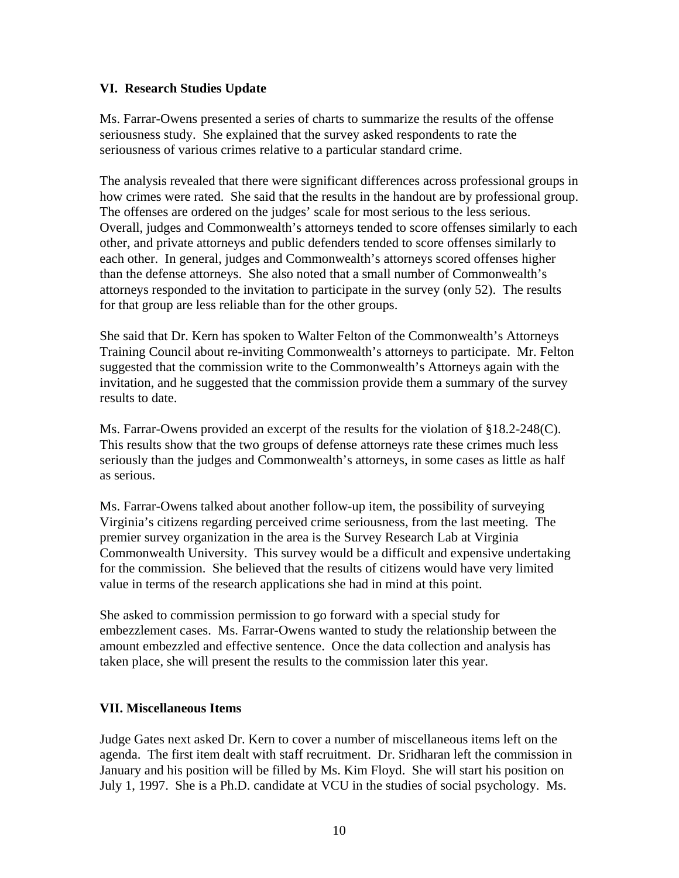### **VI. Research Studies Update**

Ms. Farrar-Owens presented a series of charts to summarize the results of the offense seriousness study. She explained that the survey asked respondents to rate the seriousness of various crimes relative to a particular standard crime.

The analysis revealed that there were significant differences across professional groups in how crimes were rated. She said that the results in the handout are by professional group. The offenses are ordered on the judges' scale for most serious to the less serious. Overall, judges and Commonwealth's attorneys tended to score offenses similarly to each other, and private attorneys and public defenders tended to score offenses similarly to each other. In general, judges and Commonwealth's attorneys scored offenses higher than the defense attorneys. She also noted that a small number of Commonwealth's attorneys responded to the invitation to participate in the survey (only 52). The results for that group are less reliable than for the other groups.

She said that Dr. Kern has spoken to Walter Felton of the Commonwealth's Attorneys Training Council about re-inviting Commonwealth's attorneys to participate. Mr. Felton suggested that the commission write to the Commonwealth's Attorneys again with the invitation, and he suggested that the commission provide them a summary of the survey results to date.

Ms. Farrar-Owens provided an excerpt of the results for the violation of §18.2-248(C). This results show that the two groups of defense attorneys rate these crimes much less seriously than the judges and Commonwealth's attorneys, in some cases as little as half as serious.

Ms. Farrar-Owens talked about another follow-up item, the possibility of surveying Virginia's citizens regarding perceived crime seriousness, from the last meeting. The premier survey organization in the area is the Survey Research Lab at Virginia Commonwealth University. This survey would be a difficult and expensive undertaking for the commission. She believed that the results of citizens would have very limited value in terms of the research applications she had in mind at this point.

She asked to commission permission to go forward with a special study for embezzlement cases. Ms. Farrar-Owens wanted to study the relationship between the amount embezzled and effective sentence. Once the data collection and analysis has taken place, she will present the results to the commission later this year.

# **VII. Miscellaneous Items**

Judge Gates next asked Dr. Kern to cover a number of miscellaneous items left on the agenda. The first item dealt with staff recruitment. Dr. Sridharan left the commission in January and his position will be filled by Ms. Kim Floyd. She will start his position on July 1, 1997. She is a Ph.D. candidate at VCU in the studies of social psychology. Ms.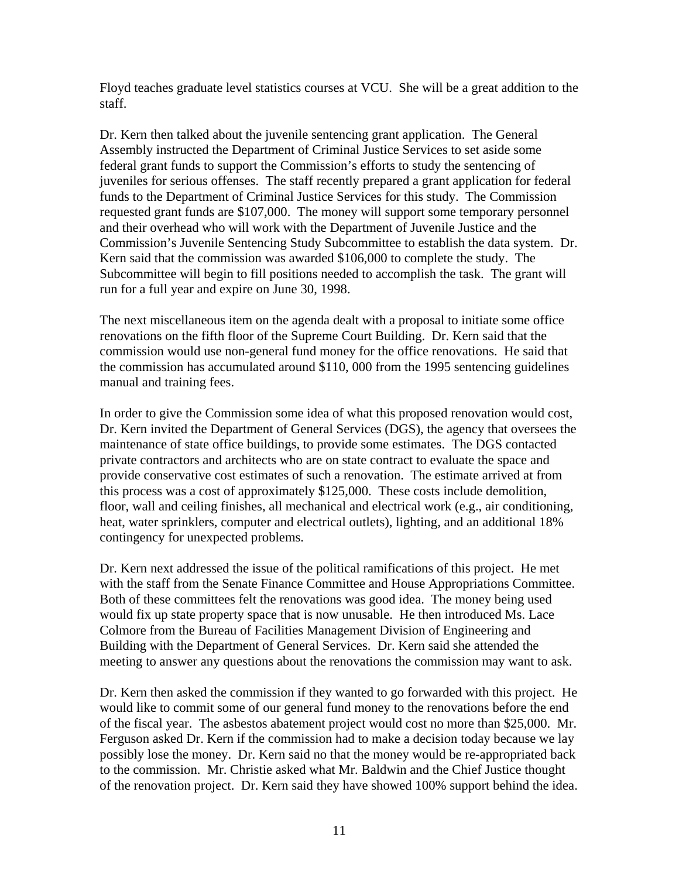Floyd teaches graduate level statistics courses at VCU. She will be a great addition to the staff.

Dr. Kern then talked about the juvenile sentencing grant application. The General Assembly instructed the Department of Criminal Justice Services to set aside some federal grant funds to support the Commission's efforts to study the sentencing of juveniles for serious offenses. The staff recently prepared a grant application for federal funds to the Department of Criminal Justice Services for this study. The Commission requested grant funds are \$107,000. The money will support some temporary personnel and their overhead who will work with the Department of Juvenile Justice and the Commission's Juvenile Sentencing Study Subcommittee to establish the data system. Dr. Kern said that the commission was awarded \$106,000 to complete the study. The Subcommittee will begin to fill positions needed to accomplish the task. The grant will run for a full year and expire on June 30, 1998.

The next miscellaneous item on the agenda dealt with a proposal to initiate some office renovations on the fifth floor of the Supreme Court Building. Dr. Kern said that the commission would use non-general fund money for the office renovations. He said that the commission has accumulated around \$110, 000 from the 1995 sentencing guidelines manual and training fees.

In order to give the Commission some idea of what this proposed renovation would cost, Dr. Kern invited the Department of General Services (DGS), the agency that oversees the maintenance of state office buildings, to provide some estimates. The DGS contacted private contractors and architects who are on state contract to evaluate the space and provide conservative cost estimates of such a renovation. The estimate arrived at from this process was a cost of approximately \$125,000. These costs include demolition, floor, wall and ceiling finishes, all mechanical and electrical work (e.g., air conditioning, heat, water sprinklers, computer and electrical outlets), lighting, and an additional 18% contingency for unexpected problems.

Dr. Kern next addressed the issue of the political ramifications of this project. He met with the staff from the Senate Finance Committee and House Appropriations Committee. Both of these committees felt the renovations was good idea. The money being used would fix up state property space that is now unusable. He then introduced Ms. Lace Colmore from the Bureau of Facilities Management Division of Engineering and Building with the Department of General Services. Dr. Kern said she attended the meeting to answer any questions about the renovations the commission may want to ask.

Dr. Kern then asked the commission if they wanted to go forwarded with this project. He would like to commit some of our general fund money to the renovations before the end of the fiscal year. The asbestos abatement project would cost no more than \$25,000. Mr. Ferguson asked Dr. Kern if the commission had to make a decision today because we lay possibly lose the money. Dr. Kern said no that the money would be re-appropriated back to the commission. Mr. Christie asked what Mr. Baldwin and the Chief Justice thought of the renovation project. Dr. Kern said they have showed 100% support behind the idea.